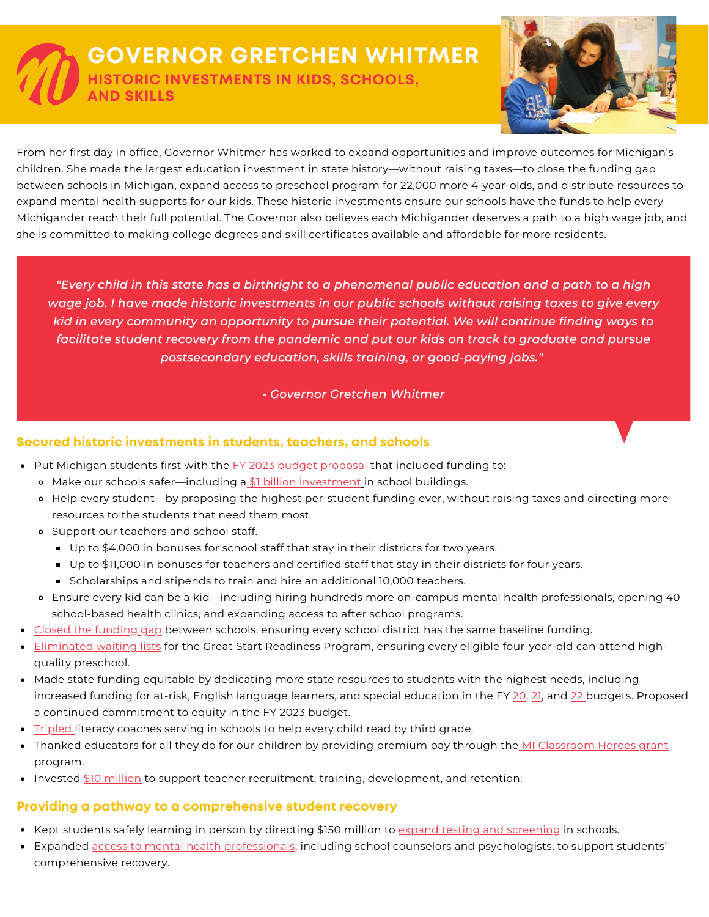## **GOVERNOR GRETCHEN WHITMER HISTORIC INVESTMENTS IN KIDS, SCHOOLS, AND SKILLS**



From her first day in office, Governor Whitmer has worked to expand opportunities and improve outcomes for Michigan's children. She made the largest education investment in state history—without raising taxes—to close the funding gap between schools in Michigan, expand access to preschool program for 22,000 more 4-year-olds, and distribute resources to expand mental health supports for our kids. These historic investments ensure our schools have the funds to help every Michigander reach their full potential. The Governor also believes each Michigander deserves a path to a high wage job, and she is committed to making college degrees and skill certificates available and affordable for more residents.

"Every child in this state has a birthright to a phenomenal public education and a path to a high *wage job. I have made historic investments in our public schools without raising taxes to give every kid in every community an opportunity to pursue their potential. We will continue finding ways to facilitate student recovery from the pandemic and put our kids on track to graduate and pursue postsecondary education, skills training, or good-paying jobs."*

*- Governor Gretchen Whitmer*

## **Secured historic investments in students, teachers, and schools**

- Put Michigan students first with the FY 2023 budget [proposal](https://www.michigan.gov/budget/-/media/Project/Websites/budget/Fiscal/Executive-Budget/Current-Exec-Rec/Current-Supporting/Fiscal-Year-2023-Executive-Budget-Book.pdf?rev=948bd48bee624cbe9660ea83c9955c5f&hash=E06C7E695D746A81B6BBD32FF7792490) that included funding to:
	- o Make our schools safer—including a \$1 billion [investment](https://www.michigan.gov/budget/-/media/Project/Websites/budget/Fiscal/Executive-Budget/Current-Exec-Rec/Current-Supporting/Fiscal-Year-2023-Executive-Budget-Book.pdf?rev=948bd48bee624cbe9660ea83c9955c5f&hash=E06C7E695D746A81B6BBD32FF7792490) in school buildings.
	- Help every student—by proposing the highest per-student funding ever, without raising taxes and directing more resources to the students that need them most
	- Support our teachers and school staff.
		- Up to \$4,000 in bonuses for school staff that stay in their districts for two years.
		- Up to \$11,000 in bonuses for teachers and certified staff that stay in their districts for four years.
		- **Scholarships and stipends to train and hire an additional 10,000 teachers.**
	- Ensure every kid can be a kid—including hiring hundreds more on-campus mental health professionals, opening 40 school-based health clinics, and expanding access to after school programs.
- Closed the [funding](https://www.michigan.gov/whitmer/0,9309,7-387-90499_90640-563679--,00.html) gap between schools, ensuring every school district has the same baseline funding.
- **[Eliminated](https://www.michigan.gov/whitmer/0,9309,7-387-90499_90640-563679--,00.html) waiting lists** for the Great Start Readiness Program, ensuring every eligible four-year-old can attend highquality preschool.
- Made state funding equitable by dedicating more state resources to students with the highest needs, including increased funding for at-risk, English language learners, and special education in the FY [20,](https://www.michigan.gov/whitmer/0,9309,7-387-90499_90640-508740--,00.html) [21,](https://www.michigan.gov/whitmer/0,9309,7-387-90499_90640-540891--,00.html) and [22](https://www.michigan.gov/whitmer/0,9309,7-387-90499_90640-563297--,00.html) budgets. Proposed a continued commitment to equity in the FY 2023 budget.
- [Tripled](https://www.michigan.gov/documents/whitmer/STATE_OF_THE_STATE_FULL_SPEECH_679746_7.pdf) literacy coaches serving in schools to help every child read by third grade.
- Thanked educators for all they do for our children by providing premium pay through the MI [Classroom](https://www.michigan.gov/documents/whitmer/FACT_SHEET__MI_Classroom_Heroes_COVID-19_Grants_714530_7.pdf) Heroes grant program.
- Invested \$10 [million](https://www.michigan.gov/whitmer/0,9309,7-387-90499_90640-574313--,00.html) to support teacher recruitment, training, development, and retention.

## **Providing a pathway to a comprehensive student recovery**

- Kept students safely learning in person by directing \$150 million to expand testing and [screening](https://www.michigan.gov/whitmer/0,9309,7-387-90487-577567--,00.html) in schools.
- **Expanded access to mental health [professionals,](https://www.michigan.gov/whitmer/0,9309,7-387-90499-574659--,00.html) including school counselors and psychologists, to support students'** comprehensive recovery.